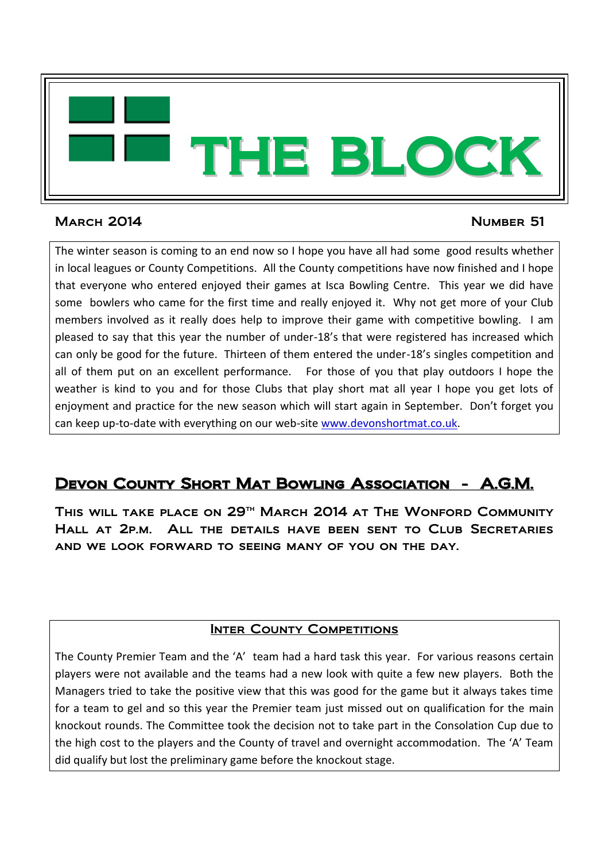

## March 2014 Number 51

The winter season is coming to an end now so I hope you have all had some good results whether in local leagues or County Competitions. All the County competitions have now finished and I hope that everyone who entered enjoyed their games at Isca Bowling Centre. This year we did have some bowlers who came for the first time and really enjoyed it. Why not get more of your Club members involved as it really does help to improve their game with competitive bowling. I am pleased to say that this year the number of under-18's that were registered has increased which can only be good for the future. Thirteen of them entered the under-18's singles competition and all of them put on an excellent performance. For those of you that play outdoors I hope the weather is kind to you and for those Clubs that play short mat all year I hope you get lots of enjoyment and practice for the new season which will start again in September. Don't forget you can keep up-to-date with everything on our web-site [www.devonshortmat.co.uk.](http://www.devonshortmat.co.uk/)

# Devon County Short Mat Bowling Association - A.G.M.

THIS WILL TAKE PLACE ON 29<sup>TH</sup> MARCH 2014 AT THE WONFORD COMMUNITY Hall at 2p.m. All the details have been sent to Club Secretaries and we look forward to seeing many of you on the day.

## **INTER COUNTY COMPETITIONS**

The County Premier Team and the 'A' team had a hard task this year. For various reasons certain players were not available and the teams had a new look with quite a few new players. Both the Managers tried to take the positive view that this was good for the game but it always takes time for a team to gel and so this year the Premier team just missed out on qualification for the main knockout rounds. The Committee took the decision not to take part in the Consolation Cup due to the high cost to the players and the County of travel and overnight accommodation. The 'A' Team did qualify but lost the preliminary game before the knockout stage.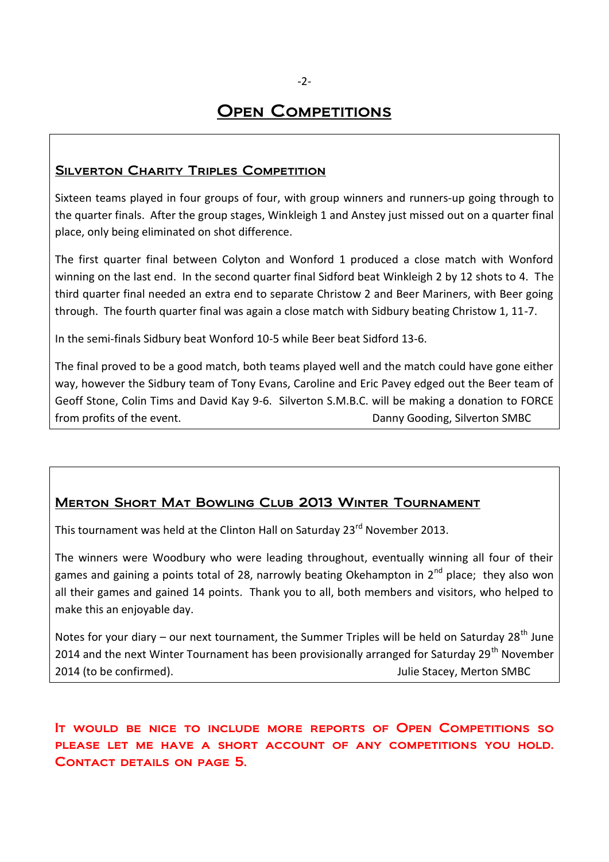## **OPEN COMPETITIONS**

#### SILVERTON CHARITY TRIPLES COMPETITION

Sixteen teams played in four groups of four, with group winners and runners-up going through to the quarter finals. After the group stages, Winkleigh 1 and Anstey just missed out on a quarter final place, only being eliminated on shot difference.

The first quarter final between Colyton and Wonford 1 produced a close match with Wonford winning on the last end. In the second quarter final Sidford beat Winkleigh 2 by 12 shots to 4. The third quarter final needed an extra end to separate Christow 2 and Beer Mariners, with Beer going through. The fourth quarter final was again a close match with Sidbury beating Christow 1, 11-7.

In the semi-finals Sidbury beat Wonford 10-5 while Beer beat Sidford 13-6.

The final proved to be a good match, both teams played well and the match could have gone either way, however the Sidbury team of Tony Evans, Caroline and Eric Pavey edged out the Beer team of Geoff Stone, Colin Tims and David Kay 9-6. Silverton S.M.B.C. will be making a donation to FORCE from profits of the event. The contraction of the event. The contraction of the event.

### Merton Short Mat Bowling Club 2013 Winter Tournament

This tournament was held at the Clinton Hall on Saturday 23<sup>rd</sup> November 2013.

The winners were Woodbury who were leading throughout, eventually winning all four of their games and gaining a points total of 28, narrowly beating Okehampton in  $2^{nd}$  place; they also won all their games and gained 14 points. Thank you to all, both members and visitors, who helped to make this an enjoyable day.

Notes for your diary – our next tournament, the Summer Triples will be held on Saturday 28<sup>th</sup> June 2014 and the next Winter Tournament has been provisionally arranged for Saturday 29<sup>th</sup> November 2014 (to be confirmed). Julie Stacey, Merton SMBC

## It would be nice to include more reports of Open Competitions so please let me have a short account of any competitions you hold. Contact details on page 5.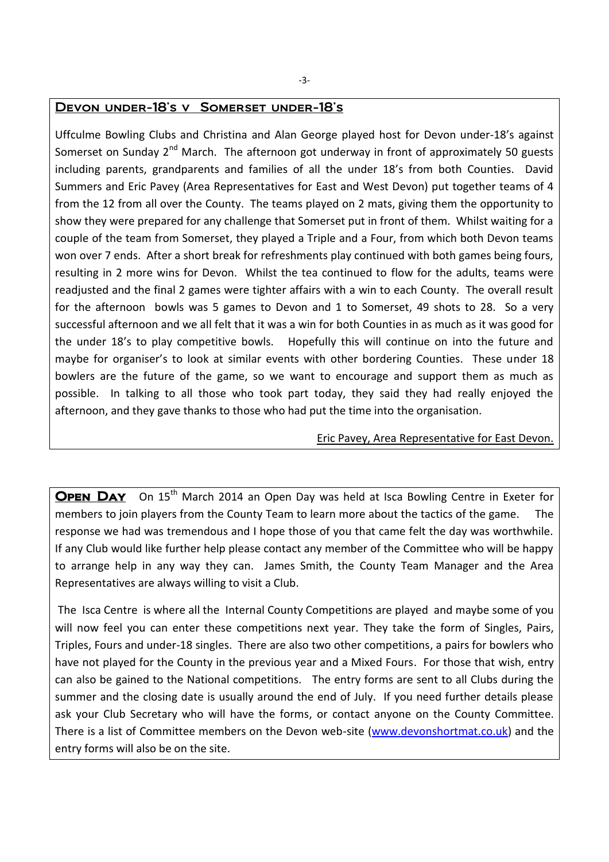#### Devon under-18's v Somerset under-18's

Uffculme Bowling Clubs and Christina and Alan George played host for Devon under-18's against Somerset on Sunday  $2^{nd}$  March. The afternoon got underway in front of approximately 50 guests including parents, grandparents and families of all the under 18's from both Counties. David Summers and Eric Pavey (Area Representatives for East and West Devon) put together teams of 4 from the 12 from all over the County. The teams played on 2 mats, giving them the opportunity to show they were prepared for any challenge that Somerset put in front of them. Whilst waiting for a couple of the team from Somerset, they played a Triple and a Four, from which both Devon teams won over 7 ends. After a short break for refreshments play continued with both games being fours, resulting in 2 more wins for Devon. Whilst the tea continued to flow for the adults, teams were readjusted and the final 2 games were tighter affairs with a win to each County. The overall result for the afternoon bowls was 5 games to Devon and 1 to Somerset, 49 shots to 28. So a very successful afternoon and we all felt that it was a win for both Counties in as much as it was good for the under 18's to play competitive bowls. Hopefully this will continue on into the future and maybe for organiser's to look at similar events with other bordering Counties. These under 18 bowlers are the future of the game, so we want to encourage and support them as much as possible. In talking to all those who took part today, they said they had really enjoyed the afternoon, and they gave thanks to those who had put the time into the organisation.

#### Eric Pavey, Area Representative for East Devon.

OPEN DAY On 15<sup>th</sup> March 2014 an Open Day was held at Isca Bowling Centre in Exeter for members to join players from the County Team to learn more about the tactics of the game. The response we had was tremendous and I hope those of you that came felt the day was worthwhile. If any Club would like further help please contact any member of the Committee who will be happy to arrange help in any way they can. James Smith, the County Team Manager and the Area Representatives are always willing to visit a Club.

The Isca Centre is where all the Internal County Competitions are played and maybe some of you will now feel you can enter these competitions next year. They take the form of Singles, Pairs, Triples, Fours and under-18 singles. There are also two other competitions, a pairs for bowlers who have not played for the County in the previous year and a Mixed Fours. For those that wish, entry can also be gained to the National competitions. The entry forms are sent to all Clubs during the summer and the closing date is usually around the end of July. If you need further details please ask your Club Secretary who will have the forms, or contact anyone on the County Committee. There is a list of Committee members on the Devon web-site [\(www.devonshortmat.co.uk\)](http://www.devonshortmat.co.uk/) and the entry forms will also be on the site.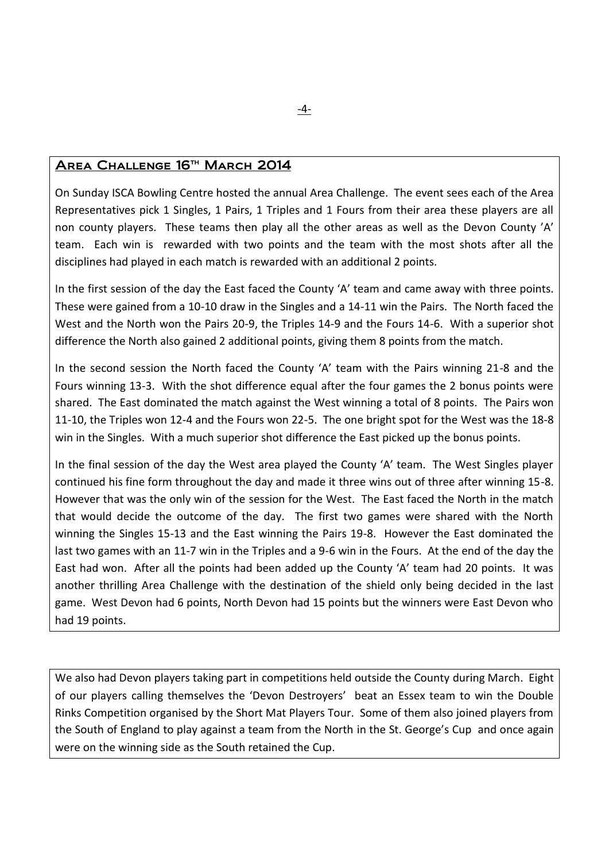#### AREA CHALLENGE 16<sup>TH</sup> MARCH 2014

On Sunday ISCA Bowling Centre hosted the annual Area Challenge. The event sees each of the Area Representatives pick 1 Singles, 1 Pairs, 1 Triples and 1 Fours from their area these players are all non county players. These teams then play all the other areas as well as the Devon County 'A' team. Each win is rewarded with two points and the team with the most shots after all the disciplines had played in each match is rewarded with an additional 2 points.

In the first session of the day the East faced the County 'A' team and came away with three points. These were gained from a 10-10 draw in the Singles and a 14-11 win the Pairs. The North faced the West and the North won the Pairs 20-9, the Triples 14-9 and the Fours 14-6. With a superior shot difference the North also gained 2 additional points, giving them 8 points from the match.

In the second session the North faced the County 'A' team with the Pairs winning 21-8 and the Fours winning 13-3. With the shot difference equal after the four games the 2 bonus points were shared. The East dominated the match against the West winning a total of 8 points. The Pairs won 11-10, the Triples won 12-4 and the Fours won 22-5. The one bright spot for the West was the 18-8 win in the Singles. With a much superior shot difference the East picked up the bonus points.

In the final session of the day the West area played the County 'A' team. The West Singles player continued his fine form throughout the day and made it three wins out of three after winning 15-8. However that was the only win of the session for the West. The East faced the North in the match that would decide the outcome of the day. The first two games were shared with the North winning the Singles 15-13 and the East winning the Pairs 19-8. However the East dominated the last two games with an 11-7 win in the Triples and a 9-6 win in the Fours. At the end of the day the East had won. After all the points had been added up the County 'A' team had 20 points. It was another thrilling Area Challenge with the destination of the shield only being decided in the last game. West Devon had 6 points, North Devon had 15 points but the winners were East Devon who had 19 points.

We also had Devon players taking part in competitions held outside the County during March. Eight of our players calling themselves the 'Devon Destroyers' beat an Essex team to win the Double Rinks Competition organised by the Short Mat Players Tour. Some of them also joined players from the South of England to play against a team from the North in the St. George's Cup and once again were on the winning side as the South retained the Cup.